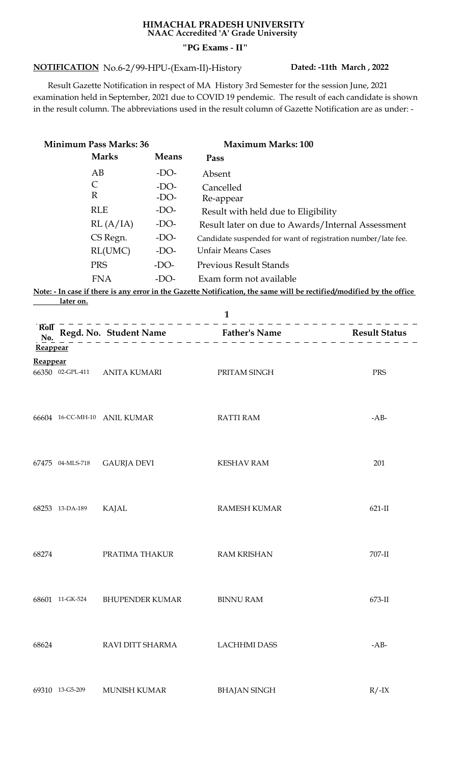## **HIMACHAL PRADESH UNIVERSITY NAAC Accredited 'A' Grade University "PG Exams - II"**

## **NOTIFICATION Dated: -11th March , 2022** No.6-2/99-HPU-(Exam-II)-History

 Result Gazette Notification in respect of MA History 3rd Semester for the session June, 2021 examination held in September, 2021 due to COVID 19 pendemic. The result of each candidate is shown in the result column. The abbreviations used in the result column of Gazette Notification are as under: -

| <b>Minimum Pass Marks: 36</b> |                  |                              |              |      | <b>Maximum Marks: 100</b>                                                                                            |          |
|-------------------------------|------------------|------------------------------|--------------|------|----------------------------------------------------------------------------------------------------------------------|----------|
|                               |                  | <b>Marks</b>                 | <b>Means</b> | Pass |                                                                                                                      |          |
|                               | AB               |                              | $-DO-$       |      | Absent                                                                                                               |          |
|                               | $\mathsf{C}$     |                              | $-DO-$       |      | Cancelled                                                                                                            |          |
|                               | $\mathbb{R}$     |                              | $-DO-$       |      | Re-appear                                                                                                            |          |
|                               |                  | <b>RLE</b>                   | $-DO-$       |      | Result with held due to Eligibility                                                                                  |          |
|                               |                  | RL(A/IA)                     | $-DO-$       |      | Result later on due to Awards/Internal Assessment                                                                    |          |
|                               |                  | CS Regn.                     | $-DO-$       |      | Candidate suspended for want of registration number/late fee.                                                        |          |
|                               |                  | RL(UMC)                      | $-DO-$       |      | <b>Unfair Means Cases</b>                                                                                            |          |
|                               | <b>PRS</b>       |                              | $-DO-$       |      | <b>Previous Result Stands</b>                                                                                        |          |
|                               |                  | <b>FNA</b>                   | $-DO-$       |      | Exam form not available                                                                                              |          |
|                               |                  |                              |              |      | Note: - In case if there is any error in the Gazette Notification, the same will be rectified/modified by the office |          |
|                               | <u>later on.</u> |                              |              |      |                                                                                                                      |          |
| <b>Roll</b>                   |                  |                              |              |      | $\mathbf{1}$                                                                                                         |          |
| No.                           |                  |                              |              |      | Regd. No. Student Name<br>$\frac{1}{2}$ Father's Name<br>$\frac{1}{2}$ Result Status<br>$\frac{1}{2}$ Result Status  |          |
| Reappear                      |                  |                              |              |      |                                                                                                                      |          |
| <b>Reappear</b>               |                  |                              |              |      |                                                                                                                      |          |
|                               | 66350 02-GPL-411 | ANITA KUMARI                 |              |      | PRITAM SINGH                                                                                                         | PRS      |
|                               |                  |                              |              |      |                                                                                                                      |          |
|                               |                  |                              |              |      |                                                                                                                      |          |
|                               |                  | 66604 16-CC-MH-10 ANIL KUMAR |              |      | <b>RATTI RAM</b>                                                                                                     | $-AB-$   |
|                               |                  |                              |              |      |                                                                                                                      |          |
|                               |                  |                              |              |      |                                                                                                                      |          |
|                               |                  |                              |              |      |                                                                                                                      |          |
|                               | 67475 04-MLS-718 | <b>GAURJA DEVI</b>           |              |      | <b>KESHAV RAM</b>                                                                                                    | 201      |
|                               |                  |                              |              |      |                                                                                                                      |          |
|                               |                  |                              |              |      |                                                                                                                      |          |
|                               | 68253 13-DA-189  | KAJAL                        |              |      | <b>RAMESH KUMAR</b>                                                                                                  | $621-II$ |
|                               |                  |                              |              |      |                                                                                                                      |          |
|                               |                  |                              |              |      |                                                                                                                      |          |
| 68274                         |                  | PRATIMA THAKUR               |              |      | <b>RAM KRISHAN</b>                                                                                                   | 707-II   |
|                               |                  |                              |              |      |                                                                                                                      |          |
|                               |                  |                              |              |      |                                                                                                                      |          |
|                               |                  |                              |              |      |                                                                                                                      |          |
|                               | 68601 11-GK-524  | <b>BHUPENDER KUMAR</b>       |              |      | <b>BINNU RAM</b>                                                                                                     | 673-II   |
|                               |                  |                              |              |      |                                                                                                                      |          |
|                               |                  |                              |              |      |                                                                                                                      |          |
| 68624                         |                  | RAVI DITT SHARMA             |              |      | <b>LACHHMI DASS</b>                                                                                                  | $-AB-$   |
|                               |                  |                              |              |      |                                                                                                                      |          |
|                               |                  |                              |              |      |                                                                                                                      |          |
|                               |                  |                              |              |      |                                                                                                                      |          |
|                               | 69310 13-G5-209  | <b>MUNISH KUMAR</b>          |              |      | <b>BHAJAN SINGH</b>                                                                                                  | $R/-IX$  |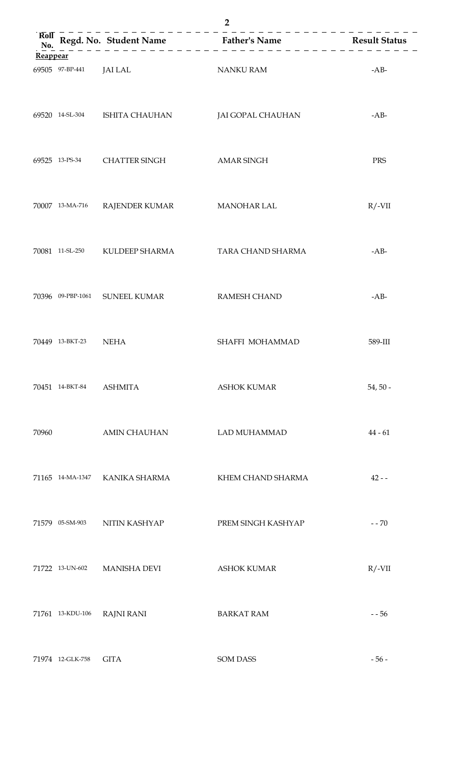|            |                  |                                | 2                                                                                                                      |            |
|------------|------------------|--------------------------------|------------------------------------------------------------------------------------------------------------------------|------------|
| RoI<br>No. |                  |                                | Regd. No. Student Name<br>$\overline{z}$ Father's Name<br>$\overline{z}$ Father's Name<br>$\overline{z}$ Result Status |            |
| Reappear   |                  |                                |                                                                                                                        |            |
|            | 69505 97-BP-441  | JAI LAL                        | <b>NANKU RAM</b>                                                                                                       | $-AB-$     |
|            |                  | 69520 14-SL-304 ISHITA CHAUHAN | JAI GOPAL CHAUHAN                                                                                                      | $-AB-$     |
|            |                  | 69525 13-PS-34 CHATTER SINGH   | <b>AMAR SINGH</b>                                                                                                      | <b>PRS</b> |
|            | 70007 13-MA-716  | RAJENDER KUMAR                 | <b>MANOHAR LAL</b>                                                                                                     | $R/-VII$   |
|            |                  | 70081 11-SL-250 KULDEEP SHARMA | TARA CHAND SHARMA                                                                                                      | $-AB-$     |
|            |                  | 70396 09-PBP-1061 SUNEEL KUMAR | <b>RAMESH CHAND</b>                                                                                                    | $-AB-$     |
|            | 70449 13-BKT-23  | <b>NEHA</b>                    | SHAFFI MOHAMMAD                                                                                                        | 589-III    |
|            | 70451 14-BKT-84  | <b>ASHMITA</b>                 | <b>ASHOK KUMAR</b>                                                                                                     | $54, 50 -$ |
| 70960      |                  | <b>AMIN CHAUHAN</b>            | <b>LAD MUHAMMAD</b>                                                                                                    | $44 - 61$  |
|            | 71165 14-MA-1347 | KANIKA SHARMA                  | KHEM CHAND SHARMA                                                                                                      | $42 - -$   |
|            | 71579 05-SM-903  | NITIN KASHYAP                  | PREM SINGH KASHYAP                                                                                                     | $- - 70$   |
|            | 71722 13-UN-602  | <b>MANISHA DEVI</b>            | <b>ASHOK KUMAR</b>                                                                                                     | $R/-VII$   |
|            | 71761 13-KDU-106 | <b>RAJNI RANI</b>              | <b>BARKAT RAM</b>                                                                                                      | $- 56$     |
|            | 71974 12-GLK-758 | <b>GITA</b>                    | <b>SOM DASS</b>                                                                                                        | $-56-$     |